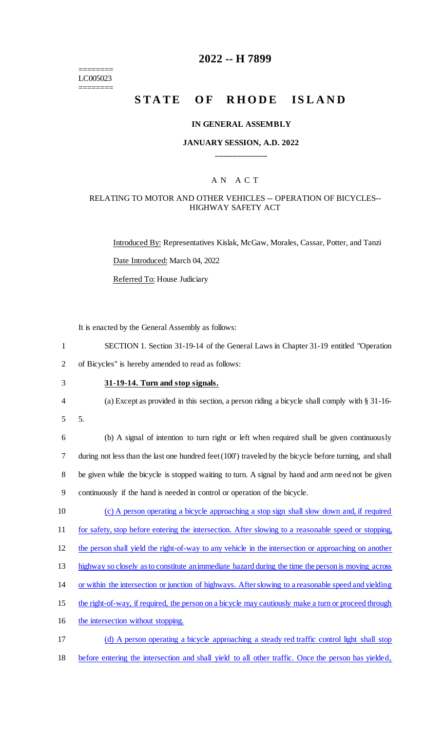======== LC005023 ========

### **2022 -- H 7899**

# **STATE OF RHODE ISLAND**

#### **IN GENERAL ASSEMBLY**

### **JANUARY SESSION, A.D. 2022 \_\_\_\_\_\_\_\_\_\_\_\_**

### A N A C T

### RELATING TO MOTOR AND OTHER VEHICLES -- OPERATION OF BICYCLES-- HIGHWAY SAFETY ACT

Introduced By: Representatives Kislak, McGaw, Morales, Cassar, Potter, and Tanzi Date Introduced: March 04, 2022 Referred To: House Judiciary

It is enacted by the General Assembly as follows:

| SECTION 1. Section 31-19-14 of the General Laws in Chapter 31-19 entitled "Operation" |
|---------------------------------------------------------------------------------------|
| of Bicycles" is hereby amended to read as follows:                                    |

- 3 **31-19-14. Turn and stop signals.**
- 4 (a) Except as provided in this section, a person riding a bicycle shall comply with § 31-16-
- 5 5.

 (b) A signal of intention to turn right or left when required shall be given continuously during not less than the last one hundred feet (100') traveled by the bicycle before turning, and shall 8 be given while the bicycle is stopped waiting to turn. A signal by hand and arm need not be given continuously if the hand is needed in control or operation of the bicycle.

10 (c) A person operating a bicycle approaching a stop sign shall slow down and, if required 11 for safety, stop before entering the intersection. After slowing to a reasonable speed or stopping,

12 the person shall yield the right-of-way to any vehicle in the intersection or approaching on another

13 highway so closely as to constitute an immediate hazard during the time the person is moving across

- 14 or within the intersection or junction of highways. After slowing to a reasonable speed and yielding
- 15 the right-of-way, if required, the person on a bicycle may cautiously make a turn or proceed through
- 16 the intersection without stopping.
- 17 (d) A person operating a bicycle approaching a steady red traffic control light shall stop 18 before entering the intersection and shall yield to all other traffic. Once the person has yielded,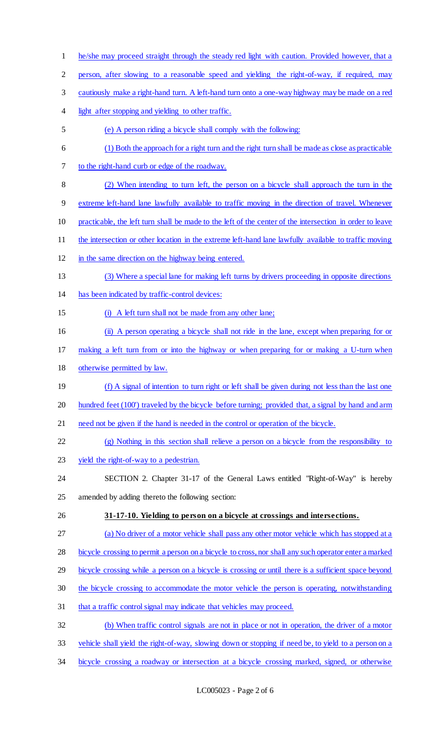he/she may proceed straight through the steady red light with caution. Provided however, that a person, after slowing to a reasonable speed and yielding the right-of-way, if required, may cautiously make a right-hand turn. A left-hand turn onto a one-way highway may be made on a red 4 light after stopping and yielding to other traffic. (e) A person riding a bicycle shall comply with the following: (1) Both the approach for a right turn and the right turn shall be made as close as practicable to the right-hand curb or edge of the roadway. (2) When intending to turn left, the person on a bicycle shall approach the turn in the extreme left-hand lane lawfully available to traffic moving in the direction of travel. Whenever practicable, the left turn shall be made to the left of the center of the intersection in order to leave 11 the intersection or other location in the extreme left-hand lane lawfully available to traffic moving in the same direction on the highway being entered. (3) Where a special lane for making left turns by drivers proceeding in opposite directions has been indicated by traffic-control devices: (i) A left turn shall not be made from any other lane; (ii) A person operating a bicycle shall not ride in the lane, except when preparing for or making a left turn from or into the highway or when preparing for or making a U-turn when otherwise permitted by law. 19 (f) A signal of intention to turn right or left shall be given during not less than the last one 20 hundred feet (100') traveled by the bicycle before turning; provided that, a signal by hand and arm 21 need not be given if the hand is needed in the control or operation of the bicycle. (g) Nothing in this section shall relieve a person on a bicycle from the responsibility to 23 yield the right-of-way to a pedestrian. SECTION 2. Chapter 31-17 of the General Laws entitled "Right-of-Way" is hereby amended by adding thereto the following section: **31-17-10. Yielding to person on a bicycle at crossings and intersections.**  (a) No driver of a motor vehicle shall pass any other motor vehicle which has stopped at a bicycle crossing to permit a person on a bicycle to cross, nor shall any such operator enter a marked 29 bicycle crossing while a person on a bicycle is crossing or until there is a sufficient space beyond 30 the bicycle crossing to accommodate the motor vehicle the person is operating, notwithstanding that a traffic control signal may indicate that vehicles may proceed. (b) When traffic control signals are not in place or not in operation, the driver of a motor vehicle shall yield the right-of-way, slowing down or stopping if need be, to yield to a person on a bicycle crossing a roadway or intersection at a bicycle crossing marked, signed, or otherwise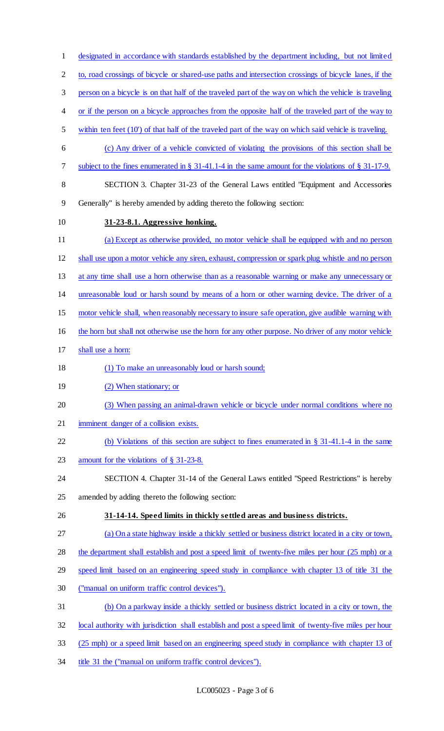designated in accordance with standards established by the department including, but not limited 2 to, road crossings of bicycle or shared-use paths and intersection crossings of bicycle lanes, if the person on a bicycle is on that half of the traveled part of the way on which the vehicle is traveling 4 or if the person on a bicycle approaches from the opposite half of the traveled part of the way to within ten feet (10') of that half of the traveled part of the way on which said vehicle is traveling. (c) Any driver of a vehicle convicted of violating the provisions of this section shall be subject to the fines enumerated in § 31-41.1-4 in the same amount for the violations of § 31-17-9. 8 SECTION 3. Chapter 31-23 of the General Laws entitled "Equipment and Accessories Generally" is hereby amended by adding thereto the following section: **31-23-8.1. Aggressive honking.**  (a) Except as otherwise provided, no motor vehicle shall be equipped with and no person shall use upon a motor vehicle any siren, exhaust, compression or spark plug whistle and no person 13 at any time shall use a horn otherwise than as a reasonable warning or make any unnecessary or unreasonable loud or harsh sound by means of a horn or other warning device. The driver of a motor vehicle shall, when reasonably necessary to insure safe operation, give audible warning with 16 the horn but shall not otherwise use the horn for any other purpose. No driver of any motor vehicle shall use a horn: 18 (1) To make an unreasonably loud or harsh sound; 19 (2) When stationary; or 20 (3) When passing an animal-drawn vehicle or bicycle under normal conditions where no imminent danger of a collision exists. (b) Violations of this section are subject to fines enumerated in § 31-41.1-4 in the same 23 amount for the violations of § 31-23-8. SECTION 4. Chapter 31-14 of the General Laws entitled "Speed Restrictions" is hereby amended by adding thereto the following section: **31-14-14. Speed limits in thickly settled areas and business districts.**  (a) On a state highway inside a thickly settled or business district located in a city or town, 28 the department shall establish and post a speed limit of twenty-five miles per hour (25 mph) or a speed limit based on an engineering speed study in compliance with chapter 13 of title 31 the ("manual on uniform traffic control devices"). (b) On a parkway inside a thickly settled or business district located in a city or town, the local authority with jurisdiction shall establish and post a speed limit of twenty-five miles per hour (25 mph) or a speed limit based on an engineering speed study in compliance with chapter 13 of 34 title 31 the ("manual on uniform traffic control devices").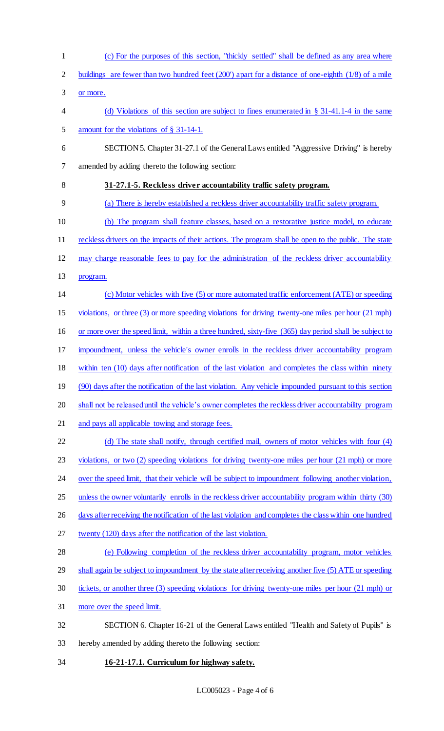(c) For the purposes of this section, "thickly settled" shall be defined as any area where buildings are fewer than two hundred feet (200') apart for a distance of one-eighth (1/8) of a mile or more. (d) Violations of this section are subject to fines enumerated in § 31-41.1-4 in the same amount for the violations of § 31-14-1. SECTION 5. Chapter 31-27.1 of the General Laws entitled "Aggressive Driving" is hereby amended by adding thereto the following section: **31-27.1-5. Reckless driver accountability traffic safety program.**  (a) There is hereby established a reckless driver accountability traffic safety program. (b) The program shall feature classes, based on a restorative justice model, to educate 11 reckless drivers on the impacts of their actions. The program shall be open to the public. The state may charge reasonable fees to pay for the administration of the reckless driver accountability program. (c) Motor vehicles with five (5) or more automated traffic enforcement (ATE) or speeding violations, or three (3) or more speeding violations for driving twenty-one miles per hour (21 mph) or more over the speed limit, within a three hundred, sixty-five (365) day period shall be subject to impoundment, unless the vehicle's owner enrolls in the reckless driver accountability program within ten (10) days after notification of the last violation and completes the class within ninety 19 (90) days after the notification of the last violation. Any vehicle impounded pursuant to this section 20 shall not be released until the vehicle's owner completes the reckless driver accountability program and pays all applicable towing and storage fees. 22 (d) The state shall notify, through certified mail, owners of motor vehicles with four (4) violations, or two (2) speeding violations for driving twenty-one miles per hour (21 mph) or more 24 over the speed limit, that their vehicle will be subject to impoundment following another violation, 25 unless the owner voluntarily enrolls in the reckless driver accountability program within thirty (30) 26 days after receiving the notification of the last violation and completes the class within one hundred twenty (120) days after the notification of the last violation. (e) Following completion of the reckless driver accountability program, motor vehicles 29 shall again be subject to impoundment by the state after receiving another five (5) ATE or speeding tickets, or another three (3) speeding violations for driving twenty-one miles per hour (21 mph) or more over the speed limit. SECTION 6. Chapter 16-21 of the General Laws entitled "Health and Safety of Pupils" is hereby amended by adding thereto the following section: **16-21-17.1. Curriculum for highway safety.**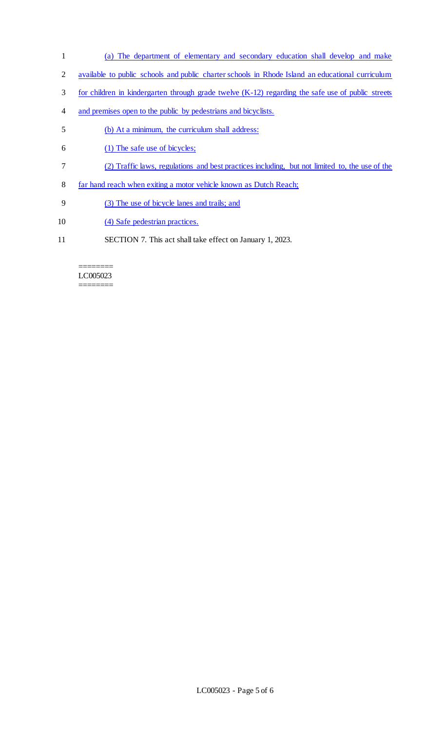- 1 (a) The department of elementary and secondary education shall develop and make
- 2 available to public schools and public charter schools in Rhode Island an educational curriculum
- 3 for children in kindergarten through grade twelve (K-12) regarding the safe use of public streets
- 4 and premises open to the public by pedestrians and bicyclists.
- 5 (b) At a minimum, the curriculum shall address:
- 6 (1) The safe use of bicycles;
- 7 (2) Traffic laws, regulations and best practices including, but not limited to, the use of the
- 8 far hand reach when exiting a motor vehicle known as Dutch Reach;
- 9 (3) The use of bicycle lanes and trails; and
- 10 (4) Safe pedestrian practices.
- 11 SECTION 7. This act shall take effect on January 1, 2023.

#### ======== LC005023 ========